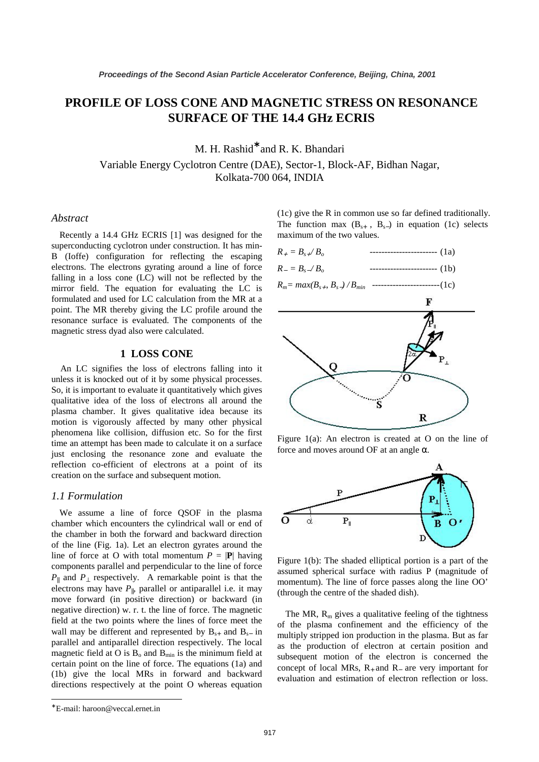# **PROFILE OF LOSS CONE AND MAGNETIC STRESS ON RESONANCE SURFACE OF THE 14.4 GHz ECRIS**

M. H. Rashid<sup>\*</sup> and R. K. Bhandari

Variable Energy Cyclotron Centre (DAE), Sector-1, Block-AF, Bidhan Nagar, Kolkata-700 064, INDIA

#### *Abstract*

Recently a 14.4 GHz ECRIS [1] was designed for the superconducting cyclotron under construction. It has min-B (Ioffe) configuration for reflecting the escaping electrons. The electrons gyrating around a line of force falling in a loss cone (LC) will not be reflected by the mirror field. The equation for evaluating the LC is formulated and used for LC calculation from the MR at a point. The MR thereby giving the LC profile around the resonance surface is evaluated. The components of the magnetic stress dyad also were calculated.

### **1 LOSS CONE**

An LC signifies the loss of electrons falling into it unless it is knocked out of it by some physical processes. So, it is important to evaluate it quantitatively which gives qualitative idea of the loss of electrons all around the plasma chamber. It gives qualitative idea because its motion is vigorously affected by many other physical phenomena like collision, diffusion etc. So for the first time an attempt has been made to calculate it on a surface just enclosing the resonance zone and evaluate the reflection co-efficient of electrons at a point of its creation on the surface and subsequent motion.

#### *1.1 Formulation*

We assume a line of force QSOF in the plasma chamber which encounters the cylindrical wall or end of the chamber in both the forward and backward direction of the line (Fig. 1a). Let an electron gyrates around the line of force at O with total momentum  $P = |\mathbf{P}|$  having components parallel and perpendicular to the line of force *P*<sup>||</sup> and *P*<sup> $\perp$ </sup> respectively. A remarkable point is that the electrons may have  $P_{\parallel}$ , parallel or antiparallel i.e. it may move forward (in positive direction) or backward (in negative direction) w. r. t. the line of force. The magnetic field at the two points where the lines of force meet the wall may be different and represented by  $B_{s+}$  and  $B_{s-}$  in parallel and antiparallel direction respectively. The local magnetic field at O is  $B_0$  and  $B_{min}$  is the minimum field at certain point on the line of force. The equations (1a) and (1b) give the local MRs in forward and backward directions respectively at the point O whereas equation Proceedings of the Second Asian Particle Accelerator Conference, Beijing, China, 2001<br> **PROCESSIONER AND MAGNETIC STRESSOONES SURESOONES**<br>
SURFACTE STRESSOONES SURESOONES AND MAGNETIC STRESSOONES SURESOON<br>
SURFACTE CONFER

<sup>(1</sup>c) give the R in common use so far defined traditionally. The function max  $(B_{s+}, B_{s-})$  in equation (1c) selects maximum of the two values.



$$
R_{-} = B_{s-}/B_o \qquad \qquad \qquad \qquad \qquad 1b)
$$

*Rm= max(Bs*<sup>+</sup> *, Bs*−*) / Bmin* ----------------------- (1c)



Figure 1(a): An electron is created at O on the line of force and moves around OF at an angle  $\alpha$ .



Figure 1(b): The shaded elliptical portion is a part of the assumed spherical surface with radius P (magnitude of momentum). The line of force passes along the line OO' (through the centre of the shaded dish).

The MR,  $R_m$  gives a qualitative feeling of the tightness of the plasma confinement and the efficiency of the multiply stripped ion production in the plasma. But as far as the production of electron at certain position and subsequent motion of the electron is concerned the concept of local MRs,  $R_+$  and  $R_-$  are very important for evaluation and estimation of electron reflection or loss.

 $\overline{a}$ 

<sup>∗</sup> E-mail: haroon@veccal.ernet.in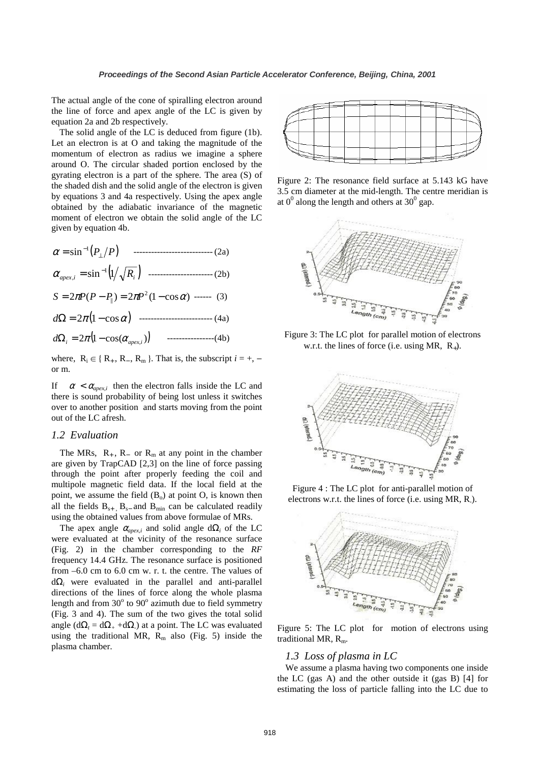The actual angle of the cone of spiralling electron around the line of force and apex angle of the LC is given by equation 2a and 2b respectively.

The solid angle of the LC is deduced from figure (1b). Let an electron is at O and taking the magnitude of the momentum of electron as radius we imagine a sphere around O. The circular shaded portion enclosed by the gyrating electron is a part of the sphere. The area (S) of the shaded dish and the solid angle of the electron is given by equations 3 and 4a respectively. Using the apex angle obtained by the adiabatic invariance of the magnetic moment of electron we obtain the solid angle of the LC given by equation 4b.

$$
\alpha = \sin^{-1}(P_{\perp}/P) \qquad \qquad (2a)
$$
\n
$$
\alpha_{apex,i} = \sin^{-1}(1/\sqrt{R_i}) \qquad \qquad (2b)
$$
\n
$$
S = 2\pi P(P - P_{\parallel}) = 2\pi P^2 (1 - \cos \alpha) \qquad \qquad (3)
$$
\n
$$
d\Omega = 2\pi (1 - \cos \alpha) \qquad \qquad (4a)
$$
\n
$$
d\Omega_i = 2\pi (1 - \cos(\alpha_{apex,i})) \qquad \qquad (4b)
$$

where,  $R_i \in \{R_+, R_-, R_m\}$ . That is, the subscript  $i = +,$ or m.

If  $\alpha < \alpha_{\text{energy}}$  then the electron falls inside the LC and there is sound probability of being lost unless it switches over to another position and starts moving from the point out of the LC afresh.

## *1.2 Evaluation*

The MRs,  $R_+$ ,  $R_-$  or  $R_m$  at any point in the chamber are given by TrapCAD [2,3] on the line of force passing through the point after properly feeding the coil and multipole magnetic field data. If the local field at the point, we assume the field  $(B_0)$  at point O, is known then all the fields  $B_{s+}$ ,  $B_{s-}$  and  $B_{min}$  can be calculated readily using the obtained values from above formulae of MRs.

The apex angle  $\alpha_{apex,i}$  and solid angle  $d\Omega_i$  of the LC were evaluated at the vicinity of the resonance surface (Fig. 2) in the chamber corresponding to the *RF*  frequency 14.4 GHz. The resonance surface is positioned from –6.0 cm to 6.0 cm w. r. t. the centre. The values of dΩ*i* were evaluated in the parallel and anti-parallel directions of the lines of force along the whole plasma length and from  $30^{\circ}$  to  $90^{\circ}$  azimuth due to field symmetry (Fig. 3 and 4). The sum of the two gives the total solid angle ( $d\Omega_t = d\Omega_+ + d\Omega$ ) at a point. The LC was evaluated using the traditional MR,  $R_m$  also (Fig. 5) inside the plasma chamber. **Proceedings of the Second Asian Particle Accelerator Conference, Beijing, China, 2001**<br>
the Second Asian Particle Accelerator Conference, Beijing, China, 2001<br>
The Second Asian Particle Record Assumption of the sphere of



Figure 2: The resonance field surface at 5.143 kG have 3.5 cm diameter at the mid-length. The centre meridian is at  $0^0$  along the length and others at  $30^0$  gap.



 Figure 3: The LC plot for parallel motion of electrons w.r.t. the lines of force (i.e. using MR,  $R_{+}$ ).



 Figure 4 : The LC plot for anti-parallel motion of electrons w.r.t. the lines of force (i.e. using MR, R-).



Figure 5: The LC plot for motion of electrons using traditional MR,  $R_m$ .

### *1.3 Loss of plasma in LC*

We assume a plasma having two components one inside the LC (gas A) and the other outside it (gas B) [4] for estimating the loss of particle falling into the LC due to